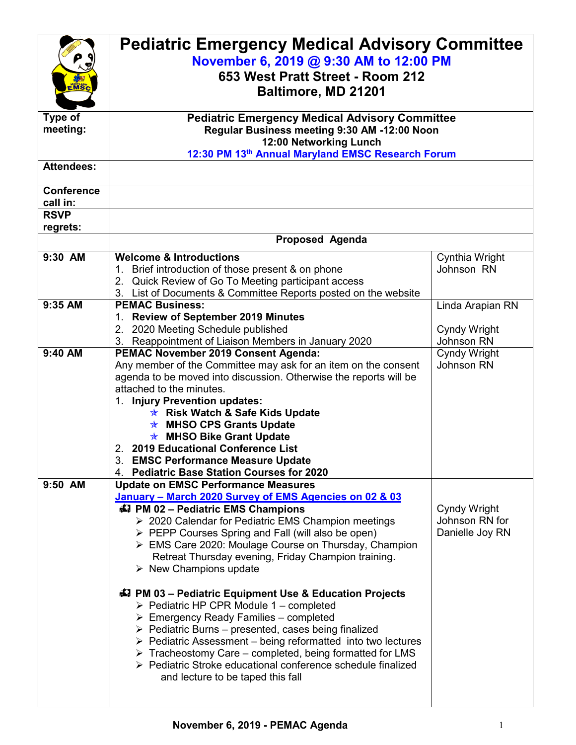|                   | <b>Pediatric Emergency Medical Advisory Committee</b>                       |                  |  |  |
|-------------------|-----------------------------------------------------------------------------|------------------|--|--|
|                   |                                                                             |                  |  |  |
|                   | November 6, 2019 @ 9:30 AM to 12:00 PM                                      |                  |  |  |
|                   | 653 West Pratt Street - Room 212                                            |                  |  |  |
|                   | Baltimore, MD 21201                                                         |                  |  |  |
|                   |                                                                             |                  |  |  |
| Type of           | <b>Pediatric Emergency Medical Advisory Committee</b>                       |                  |  |  |
| meeting:          | Regular Business meeting 9:30 AM -12:00 Noon                                |                  |  |  |
|                   | 12:00 Networking Lunch                                                      |                  |  |  |
|                   | 12:30 PM 13th Annual Maryland EMSC Research Forum                           |                  |  |  |
| <b>Attendees:</b> |                                                                             |                  |  |  |
| <b>Conference</b> |                                                                             |                  |  |  |
| call in:          |                                                                             |                  |  |  |
| <b>RSVP</b>       |                                                                             |                  |  |  |
| regrets:          |                                                                             |                  |  |  |
|                   | <b>Proposed Agenda</b>                                                      |                  |  |  |
| 9:30 AM           | <b>Welcome &amp; Introductions</b>                                          | Cynthia Wright   |  |  |
|                   | 1. Brief introduction of those present & on phone                           | Johnson RN       |  |  |
|                   | 2. Quick Review of Go To Meeting participant access                         |                  |  |  |
|                   | 3. List of Documents & Committee Reports posted on the website              |                  |  |  |
| 9:35 AM           | <b>PEMAC Business:</b>                                                      | Linda Arapian RN |  |  |
|                   | 1. Review of September 2019 Minutes                                         |                  |  |  |
|                   | 2. 2020 Meeting Schedule published                                          | Cyndy Wright     |  |  |
|                   | 3. Reappointment of Liaison Members in January 2020                         | Johnson RN       |  |  |
| 9:40 AM           | <b>PEMAC November 2019 Consent Agenda:</b>                                  | Cyndy Wright     |  |  |
|                   | Any member of the Committee may ask for an item on the consent              | Johnson RN       |  |  |
|                   | agenda to be moved into discussion. Otherwise the reports will be           |                  |  |  |
|                   | attached to the minutes.                                                    |                  |  |  |
|                   | 1. Injury Prevention updates:                                               |                  |  |  |
|                   | <b>★ Risk Watch &amp; Safe Kids Update</b>                                  |                  |  |  |
|                   | <b>★ MHSO CPS Grants Update</b>                                             |                  |  |  |
|                   | <b>★ MHSO Bike Grant Update</b>                                             |                  |  |  |
|                   | 2. 2019 Educational Conference List                                         |                  |  |  |
|                   | 3. EMSC Performance Measure Update                                          |                  |  |  |
|                   | 4. Pediatric Base Station Courses for 2020                                  |                  |  |  |
| 9:50 AM           | <b>Update on EMSC Performance Measures</b>                                  |                  |  |  |
|                   | January - March 2020 Survey of EMS Agencies on 02 & 03                      |                  |  |  |
|                   | 47 PM 02 - Pediatric EMS Champions                                          | Cyndy Wright     |  |  |
|                   | ▶ 2020 Calendar for Pediatric EMS Champion meetings                         | Johnson RN for   |  |  |
|                   | > PEPP Courses Spring and Fall (will also be open)                          | Danielle Joy RN  |  |  |
|                   | $\triangleright$ EMS Care 2020: Moulage Course on Thursday, Champion        |                  |  |  |
|                   | Retreat Thursday evening, Friday Champion training.                         |                  |  |  |
|                   | $\triangleright$ New Champions update                                       |                  |  |  |
|                   |                                                                             |                  |  |  |
|                   | 47 PM 03 - Pediatric Equipment Use & Education Projects                     |                  |  |  |
|                   | $\triangleright$ Pediatric HP CPR Module 1 – completed                      |                  |  |  |
|                   | $\triangleright$ Emergency Ready Families – completed                       |                  |  |  |
|                   | $\triangleright$ Pediatric Burns – presented, cases being finalized         |                  |  |  |
|                   | $\triangleright$ Pediatric Assessment – being reformatted into two lectures |                  |  |  |
|                   | $\triangleright$ Tracheostomy Care – completed, being formatted for LMS     |                  |  |  |
|                   | ▶ Pediatric Stroke educational conference schedule finalized                |                  |  |  |
|                   | and lecture to be taped this fall                                           |                  |  |  |
|                   |                                                                             |                  |  |  |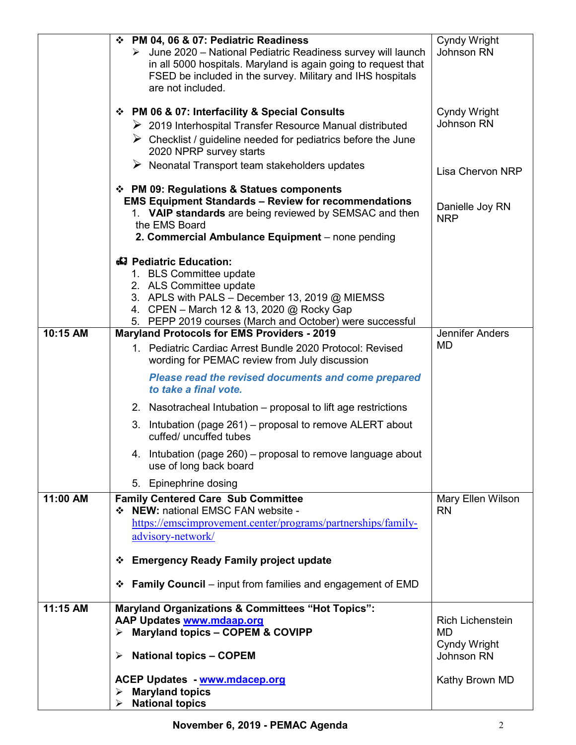|          | ❖ PM 04, 06 & 07: Pediatric Readiness<br>> June 2020 - National Pediatric Readiness survey will launch<br>in all 5000 hospitals. Maryland is again going to request that<br>FSED be included in the survey. Military and IHS hospitals<br>are not included. | Cyndy Wright<br>Johnson RN           |
|----------|-------------------------------------------------------------------------------------------------------------------------------------------------------------------------------------------------------------------------------------------------------------|--------------------------------------|
|          | ❖ PM 06 & 07: Interfacility & Special Consults<br>$\triangleright$ 2019 Interhospital Transfer Resource Manual distributed<br>$\triangleright$ Checklist / guideline needed for pediatrics before the June<br>2020 NPRP survey starts                       | Cyndy Wright<br>Johnson RN           |
|          | $\triangleright$ Neonatal Transport team stakeholders updates                                                                                                                                                                                               | Lisa Chervon NRP                     |
|          | ❖ PM 09: Regulations & Statues components<br><b>EMS Equipment Standards - Review for recommendations</b><br>1. VAIP standards are being reviewed by SEMSAC and then<br>the EMS Board<br>2. Commercial Ambulance Equipment - none pending                    | Danielle Joy RN<br><b>NRP</b>        |
|          | 43 Pediatric Education:<br>1. BLS Committee update<br>2. ALS Committee update<br>3. APLS with PALS - December 13, 2019 @ MIEMSS<br>4. CPEN - March 12 & 13, 2020 @ Rocky Gap<br>5. PEPP 2019 courses (March and October) were successful                    |                                      |
| 10:15 AM | <b>Maryland Protocols for EMS Providers - 2019</b>                                                                                                                                                                                                          | <b>Jennifer Anders</b><br><b>MD</b>  |
|          | 1. Pediatric Cardiac Arrest Bundle 2020 Protocol: Revised<br>wording for PEMAC review from July discussion                                                                                                                                                  |                                      |
|          | <b>Please read the revised documents and come prepared</b><br>to take a final vote.                                                                                                                                                                         |                                      |
|          | 2. Nasotracheal Intubation – proposal to lift age restrictions                                                                                                                                                                                              |                                      |
|          | 3. Intubation (page 261) - proposal to remove ALERT about<br>cuffed/ uncuffed tubes                                                                                                                                                                         |                                      |
|          | 4. Intubation (page 260) – proposal to remove language about<br>use of long back board                                                                                                                                                                      |                                      |
|          | 5. Epinephrine dosing                                                                                                                                                                                                                                       |                                      |
| 11:00 AM | <b>Family Centered Care Sub Committee</b><br>❖ NEW: national EMSC FAN website -                                                                                                                                                                             | Mary Ellen Wilson<br><b>RN</b>       |
|          | https://emscimprovement.center/programs/partnerships/family-                                                                                                                                                                                                |                                      |
|          | advisory-network/                                                                                                                                                                                                                                           |                                      |
|          | <b>Emergency Ready Family project update</b><br>❖                                                                                                                                                                                                           |                                      |
|          | <b>Family Council</b> – input from families and engagement of EMD<br>❖                                                                                                                                                                                      |                                      |
| 11:15 AM | <b>Maryland Organizations &amp; Committees "Hot Topics":</b>                                                                                                                                                                                                |                                      |
|          | AAP Updates www.mdaap.org<br>$\triangleright$ Maryland topics - COPEM & COVIPP                                                                                                                                                                              | <b>Rich Lichenstein</b><br><b>MD</b> |
|          | <b>National topics - COPEM</b><br>➤                                                                                                                                                                                                                         | Cyndy Wright<br>Johnson RN           |
|          | <b>ACEP Updates - www.mdacep.org</b>                                                                                                                                                                                                                        | Kathy Brown MD                       |
|          | <b>Maryland topics</b><br>➤<br><b>National topics</b><br>➤                                                                                                                                                                                                  |                                      |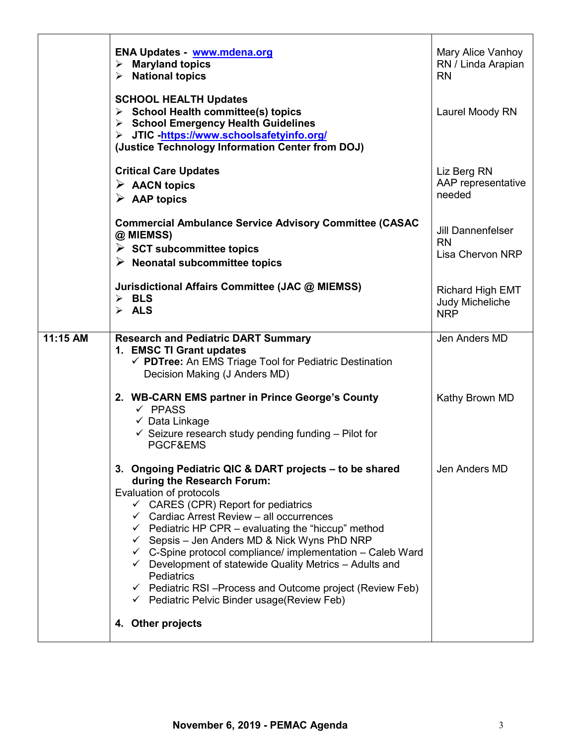|          | ENA Updates - www.mdena.org<br>$\triangleright$ Maryland topics<br>$\triangleright$ National topics                                                                                                                                                                                                                                                                                                                                                                                                                                                                                                                                                    | Mary Alice Vanhoy<br>RN / Linda Arapian<br><b>RN</b>             |
|----------|--------------------------------------------------------------------------------------------------------------------------------------------------------------------------------------------------------------------------------------------------------------------------------------------------------------------------------------------------------------------------------------------------------------------------------------------------------------------------------------------------------------------------------------------------------------------------------------------------------------------------------------------------------|------------------------------------------------------------------|
|          | <b>SCHOOL HEALTH Updates</b><br>$\triangleright$ School Health committee(s) topics<br>> School Emergency Health Guidelines<br>> JTIC -https://www.schoolsafetyinfo.org/<br>(Justice Technology Information Center from DOJ)                                                                                                                                                                                                                                                                                                                                                                                                                            | Laurel Moody RN                                                  |
|          | <b>Critical Care Updates</b><br>$\triangleright$ AACN topics<br>$\triangleright$ AAP topics                                                                                                                                                                                                                                                                                                                                                                                                                                                                                                                                                            | Liz Berg RN<br>AAP representative<br>needed                      |
|          | <b>Commercial Ambulance Service Advisory Committee (CASAC</b><br>@ MIEMSS)<br>$\triangleright$ SCT subcommittee topics<br>$\triangleright$ Neonatal subcommittee topics                                                                                                                                                                                                                                                                                                                                                                                                                                                                                | <b>Jill Dannenfelser</b><br><b>RN</b><br><b>Lisa Chervon NRP</b> |
|          | Jurisdictional Affairs Committee (JAC @ MIEMSS)<br>$\triangleright$ BLS<br>$\triangleright$ ALS                                                                                                                                                                                                                                                                                                                                                                                                                                                                                                                                                        | <b>Richard High EMT</b><br>Judy Micheliche<br><b>NRP</b>         |
| 11:15 AM | <b>Research and Pediatric DART Summary</b><br>1. EMSC TI Grant updates<br>← PDTree: An EMS Triage Tool for Pediatric Destination<br>Decision Making (J Anders MD)                                                                                                                                                                                                                                                                                                                                                                                                                                                                                      | Jen Anders MD                                                    |
|          | 2. WB-CARN EMS partner in Prince George's County<br>$\checkmark$ PPASS<br>$\checkmark$ Data Linkage<br>$\checkmark$ Seizure research study pending funding – Pilot for<br>PGCF&EMS                                                                                                                                                                                                                                                                                                                                                                                                                                                                     | Kathy Brown MD                                                   |
|          | 3. Ongoing Pediatric QIC & DART projects - to be shared<br>during the Research Forum:<br>Evaluation of protocols<br>$\checkmark$ CARES (CPR) Report for pediatrics<br>$\checkmark$ Cardiac Arrest Review - all occurrences<br>$\checkmark$ Pediatric HP CPR – evaluating the "hiccup" method<br>$\checkmark$ Sepsis – Jen Anders MD & Nick Wyns PhD NRP<br>$\checkmark$ C-Spine protocol compliance/ implementation - Caleb Ward<br>$\checkmark$ Development of statewide Quality Metrics - Adults and<br>Pediatrics<br>$\checkmark$ Pediatric RSI-Process and Outcome project (Review Feb)<br>$\checkmark$ Pediatric Pelvic Binder usage (Review Feb) | Jen Anders MD                                                    |
|          | 4. Other projects                                                                                                                                                                                                                                                                                                                                                                                                                                                                                                                                                                                                                                      |                                                                  |